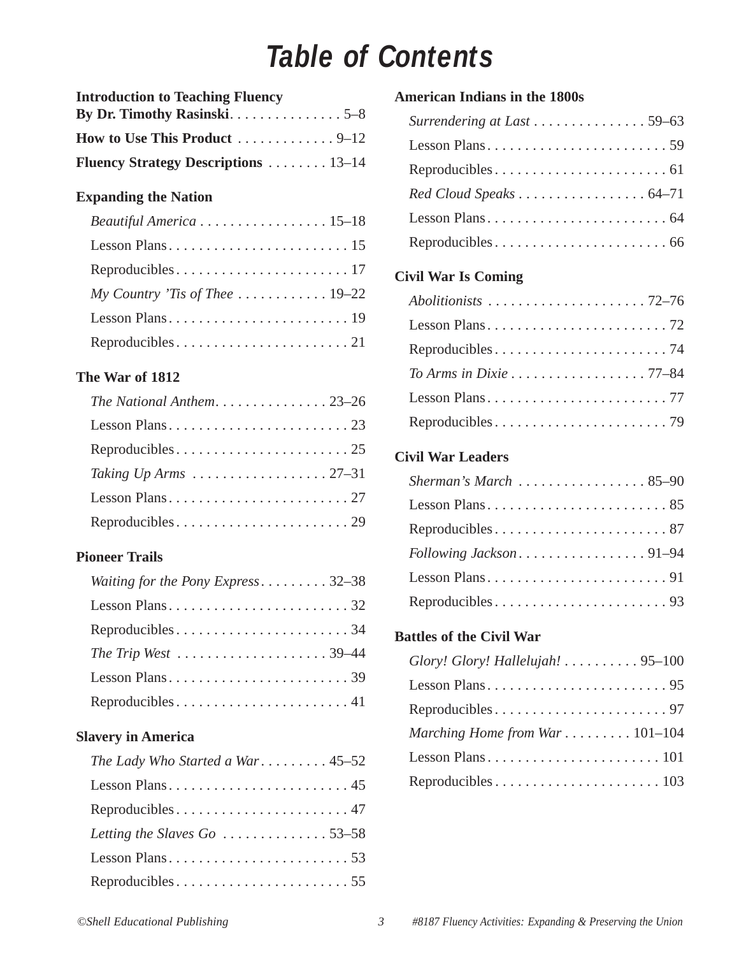### *Table of Contents*

| <b>Introduction to Teaching Fluency</b>                 |  |
|---------------------------------------------------------|--|
|                                                         |  |
| How to Use This Product $\dots \dots \dots \dots \dots$ |  |
| <b>Fluency Strategy Descriptions</b> 13–14              |  |

### **Expanding the Nation**

| Beautiful America 15-18        |
|--------------------------------|
|                                |
|                                |
| My Country 'Tis of Thee  19–22 |
|                                |
|                                |

### **The War of 1812**

| The National Anthem23-26 |
|--------------------------|
|                          |
|                          |
|                          |
|                          |
|                          |

### **Pioneer Trails**

| <i>Waiting for the Pony Express</i> 32–38           |
|-----------------------------------------------------|
|                                                     |
|                                                     |
| The Trip West $\dots\dots\dots\dots\dots\dots39-44$ |
|                                                     |
|                                                     |

#### **Slavery in America**

| The Lady Who Started a War 45–52                      |
|-------------------------------------------------------|
|                                                       |
|                                                       |
| Letting the Slaves $Go \dots \dots \dots \dots 53-58$ |
|                                                       |
|                                                       |

### **American Indians in the 1800s**

| Surrendering at Last 59–63 |  |
|----------------------------|--|
|                            |  |
|                            |  |
| Red Cloud Speaks 64-71     |  |
|                            |  |
|                            |  |

### **Civil War Is Coming**

| To Arms in Dixie 77–84 |
|------------------------|
|                        |
|                        |

### **Civil War Leaders**

| Sherman's March 85–90  |
|------------------------|
|                        |
|                        |
| Following Jackson91-94 |
|                        |
|                        |

### **Battles of the Civil War**

| Glory! Glory! Hallelujah! 95-100 |
|----------------------------------|
|                                  |
|                                  |
| Marching Home from War $101-104$ |
|                                  |
|                                  |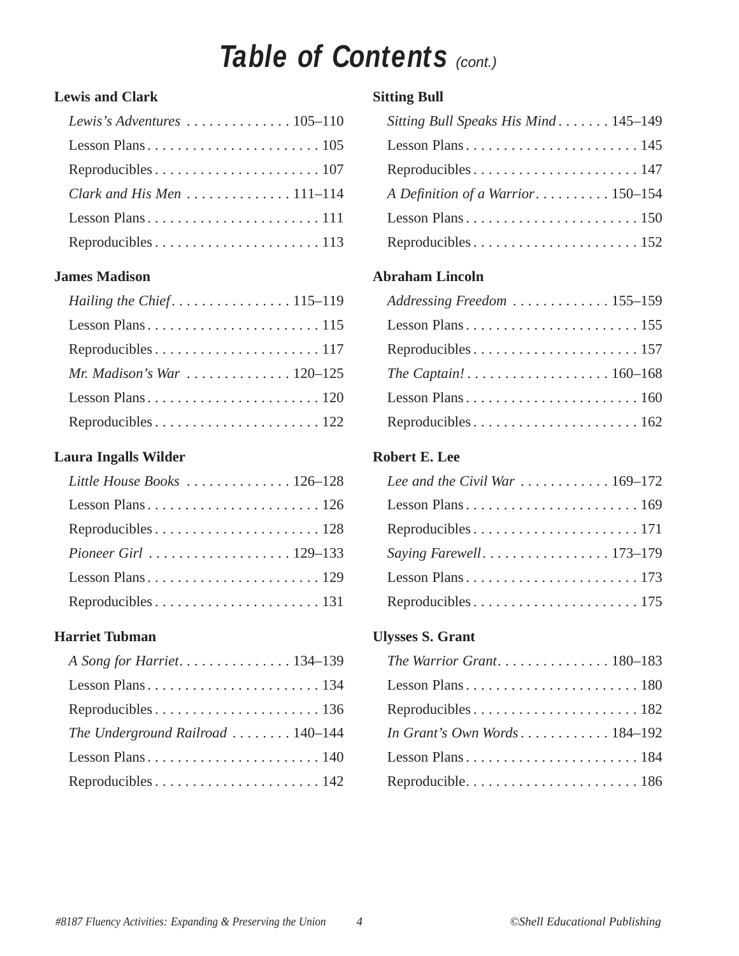### **Table of Contents (CONT.)**

### **Lewis and Clark**

| Clark and His Men $\dots\dots\dots\dots\dots$ 111-114 |
|-------------------------------------------------------|
|                                                       |
|                                                       |

### **James Madison**

| Hailing the Chief. $\dots \dots \dots \dots \dots 115-119$ |
|------------------------------------------------------------|
|                                                            |
|                                                            |
| <i>Mr. Madison's War</i> 120–125                           |
|                                                            |
|                                                            |

### **Laura Ingalls Wilder**

| Little House Books  126-128 |
|-----------------------------|
|                             |
|                             |
|                             |
|                             |
|                             |

### **Harriet Tubman**

| A Song for Harriet. 134-139       |  |
|-----------------------------------|--|
|                                   |  |
|                                   |  |
| The Underground Railroad  140-144 |  |
|                                   |  |
|                                   |  |
|                                   |  |

### **Sitting Bull**

| Sitting Bull Speaks His Mind 145–149 |
|--------------------------------------|
|                                      |
|                                      |
| A Definition of a Warrior 150–154    |
|                                      |
|                                      |

### **Abraham Lincoln**

| Addressing Freedom 155–159                                       |
|------------------------------------------------------------------|
|                                                                  |
|                                                                  |
| The Captain! $\ldots \ldots \ldots \ldots \ldots \ldots 160-168$ |
|                                                                  |
|                                                                  |

### **Robert E. Lee**

| Lee and the Civil War $\dots \dots \dots \dots 169-172$ |
|---------------------------------------------------------|
|                                                         |
|                                                         |
|                                                         |
|                                                         |
|                                                         |

### **Ulysses S. Grant**

| The Warrior Grant180–183     |
|------------------------------|
|                              |
|                              |
| In Grant's Own Words 184–192 |
|                              |
|                              |
|                              |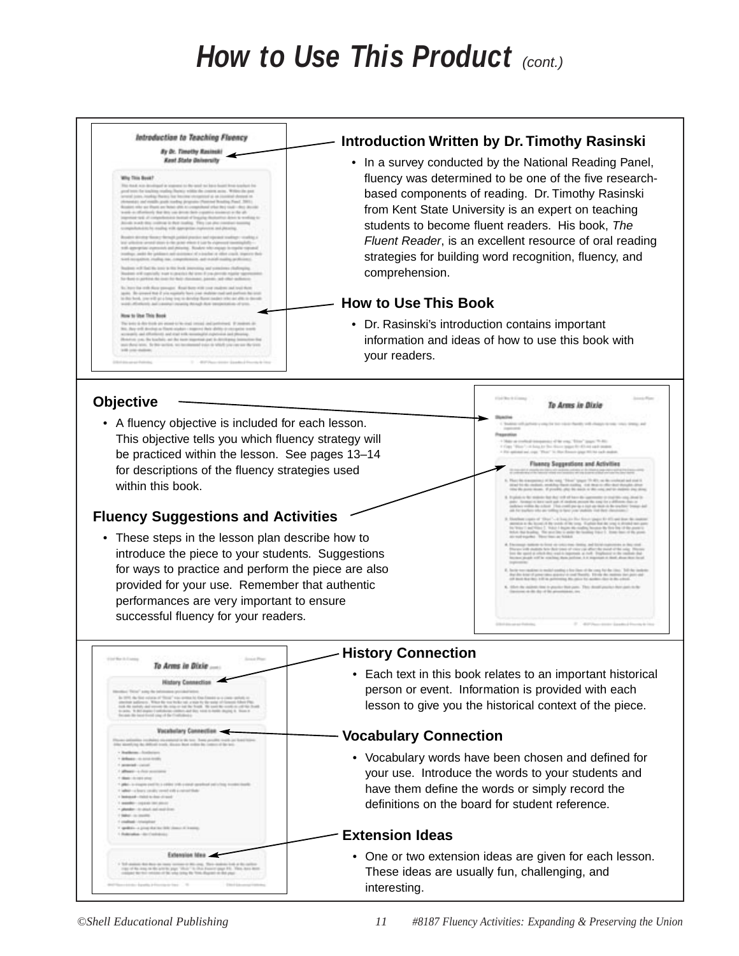### *How to Use This Product (cont.)*



#### **Objective**

• A fluency objective is included for each lesson. This objective tells you which fluency strategy will be practiced within the lesson. See pages 13–14 for descriptions of the fluency strategies used within this book.

### **Fluency Suggestions and Activities**

To Arms in Dixie dary Co.

• These steps in the lesson plan describe how to introduce the piece to your students. Suggestions for ways to practice and perform the piece are also provided for your use. Remember that authentic performances are very important to ensure successful fluency for your readers.

#### **History Connection**

• Each text in this book relates to an important historical person or event. Information is provided with each lesson to give you the historical context of the piece.

To Arms in Dixle

#### **Vocabulary Connection**

• Vocabulary words have been chosen and defined for your use. Introduce the words to your students and have them define the words or simply record the definitions on the board for student reference.

#### **Extension Ideas**

• One or two extension ideas are given for each lesson. These ideas are usually fun, challenging, and interesting.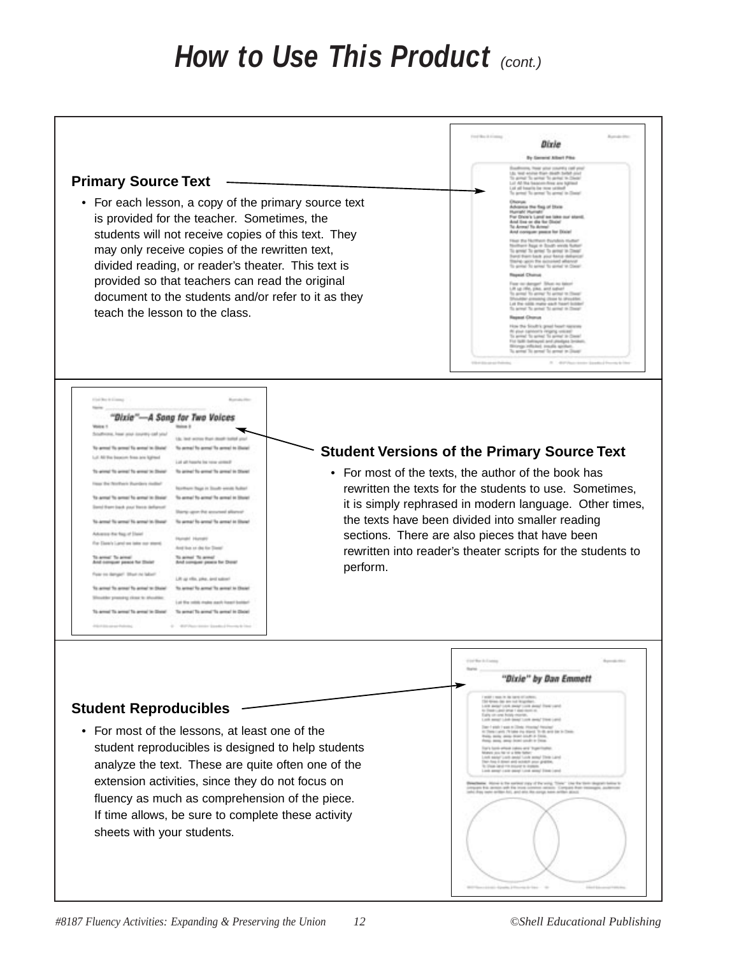### *How to Use This Product (cont.)*

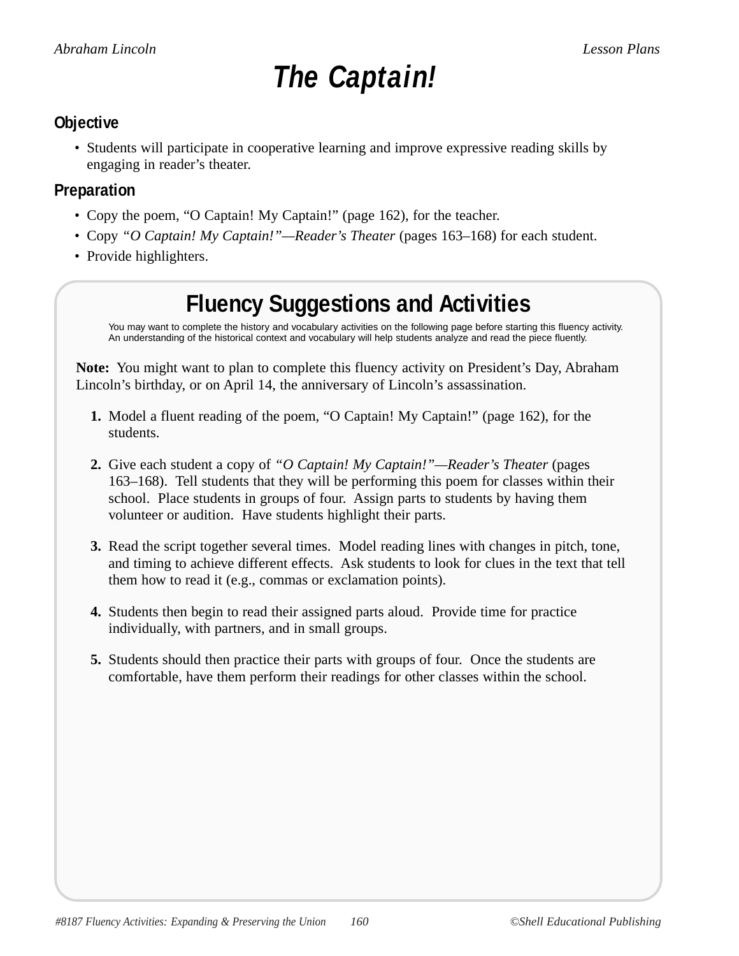## *The Captain!*

### **Objective**

• Students will participate in cooperative learning and improve expressive reading skills by engaging in reader's theater.

### **Preparation**

- Copy the poem, "O Captain! My Captain!" (page 162), for the teacher.
- Copy *"O Captain! My Captain!"—Reader's Theater* (pages 163–168) for each student.
- Provide highlighters.

### **Fluency Suggestions and Activities**

You may want to complete the history and vocabulary activities on the following page before starting this fluency activity. An understanding of the historical context and vocabulary will help students analyze and read the piece fluently.

**Note:** You might want to plan to complete this fluency activity on President's Day, Abraham Lincoln's birthday, or on April 14, the anniversary of Lincoln's assassination.

- **1.** Model a fluent reading of the poem, "O Captain! My Captain!" (page 162), for the students.
- **2.** Give each student a copy of *"O Captain! My Captain!"—Reader's Theater* (pages 163–168). Tell students that they will be performing this poem for classes within their school. Place students in groups of four. Assign parts to students by having them volunteer or audition. Have students highlight their parts.
- **3.** Read the script together several times. Model reading lines with changes in pitch, tone, and timing to achieve different effects. Ask students to look for clues in the text that tell them how to read it (e.g., commas or exclamation points).
- **4.** Students then begin to read their assigned parts aloud. Provide time for practice individually, with partners, and in small groups.
- **5.** Students should then practice their parts with groups of four. Once the students are comfortable, have them perform their readings for other classes within the school.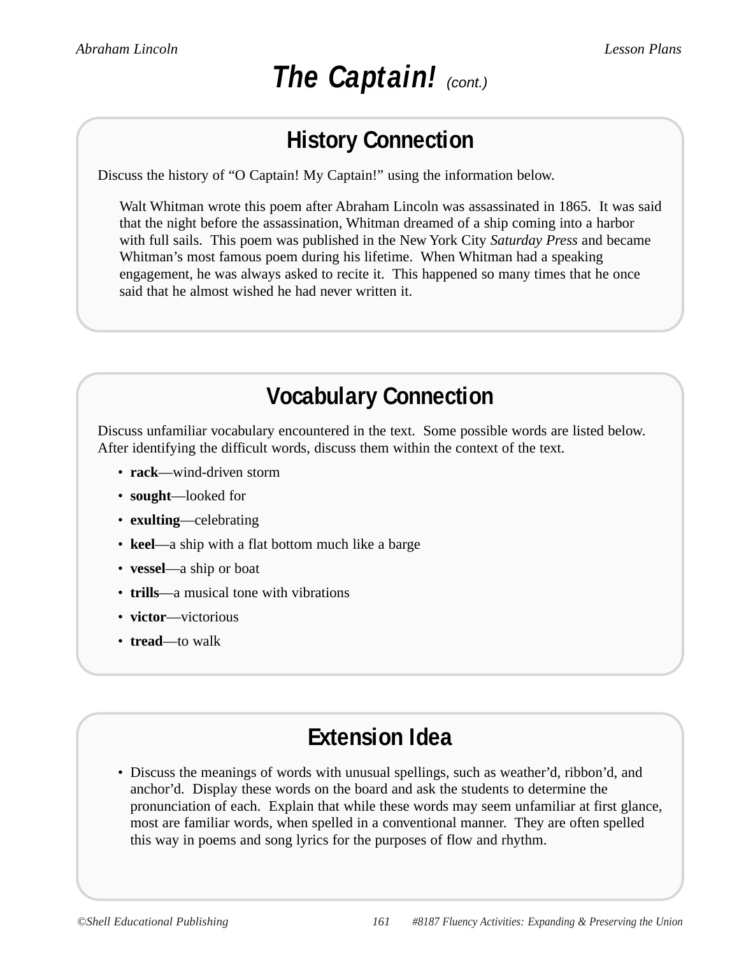## **The Captain!** (cont.)

### **History Connection**

Discuss the history of "O Captain! My Captain!" using the information below.

Walt Whitman wrote this poem after Abraham Lincoln was assassinated in 1865. It was said that the night before the assassination, Whitman dreamed of a ship coming into a harbor with full sails. This poem was published in the New York City *Saturday Press* and became Whitman's most famous poem during his lifetime. When Whitman had a speaking engagement, he was always asked to recite it. This happened so many times that he once said that he almost wished he had never written it.

### **Vocabulary Connection**

Discuss unfamiliar vocabulary encountered in the text. Some possible words are listed below. After identifying the difficult words, discuss them within the context of the text.

- **rack**—wind-driven storm
- **sought**—looked for
- **exulting**—celebrating
- **keel**—a ship with a flat bottom much like a barge
- **vessel**—a ship or boat
- **trills**—a musical tone with vibrations
- **victor**—victorious
- **tread**—to walk

### **Extension Idea**

• Discuss the meanings of words with unusual spellings, such as weather'd, ribbon'd, and anchor'd. Display these words on the board and ask the students to determine the pronunciation of each. Explain that while these words may seem unfamiliar at first glance, most are familiar words, when spelled in a conventional manner. They are often spelled this way in poems and song lyrics for the purposes of flow and rhythm.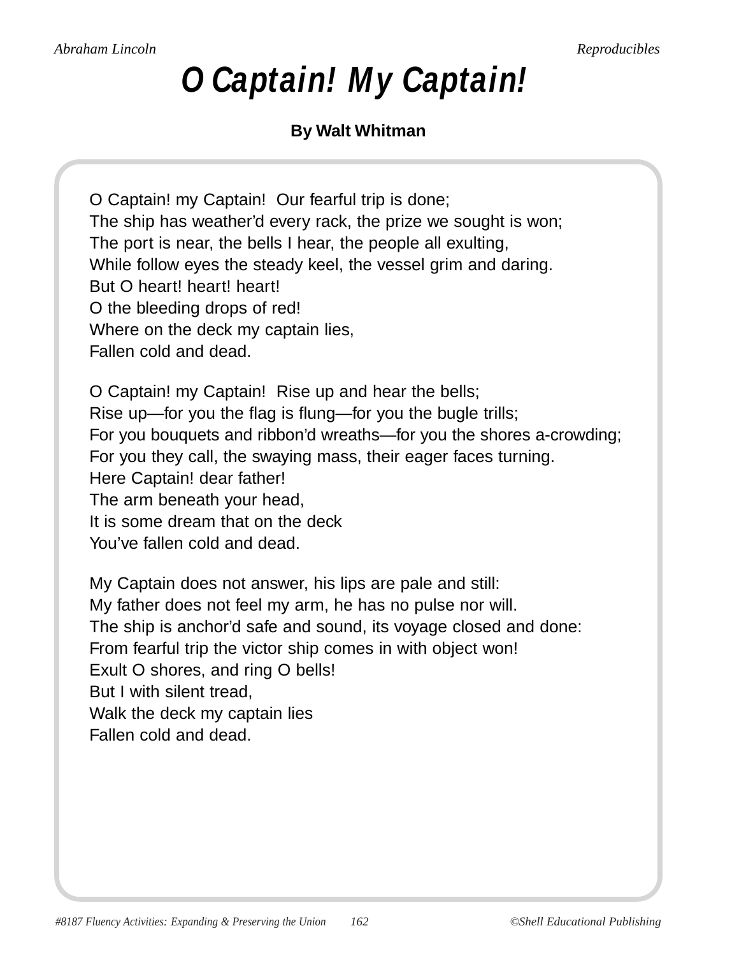# *O Captain! My Captain!*

### **By Walt Whitman**

O Captain! my Captain! Our fearful trip is done; The ship has weather'd every rack, the prize we sought is won; The port is near, the bells I hear, the people all exulting, While follow eyes the steady keel, the vessel grim and daring. But O heart! heart! heart! O the bleeding drops of red! Where on the deck my captain lies, Fallen cold and dead.

O Captain! my Captain! Rise up and hear the bells; Rise up—for you the flag is flung—for you the bugle trills; For you bouquets and ribbon'd wreaths—for you the shores a-crowding; For you they call, the swaying mass, their eager faces turning. Here Captain! dear father! The arm beneath your head, It is some dream that on the deck You've fallen cold and dead.

My Captain does not answer, his lips are pale and still: My father does not feel my arm, he has no pulse nor will. The ship is anchor'd safe and sound, its voyage closed and done: From fearful trip the victor ship comes in with object won! Exult O shores, and ring O bells! But I with silent tread, Walk the deck my captain lies Fallen cold and dead.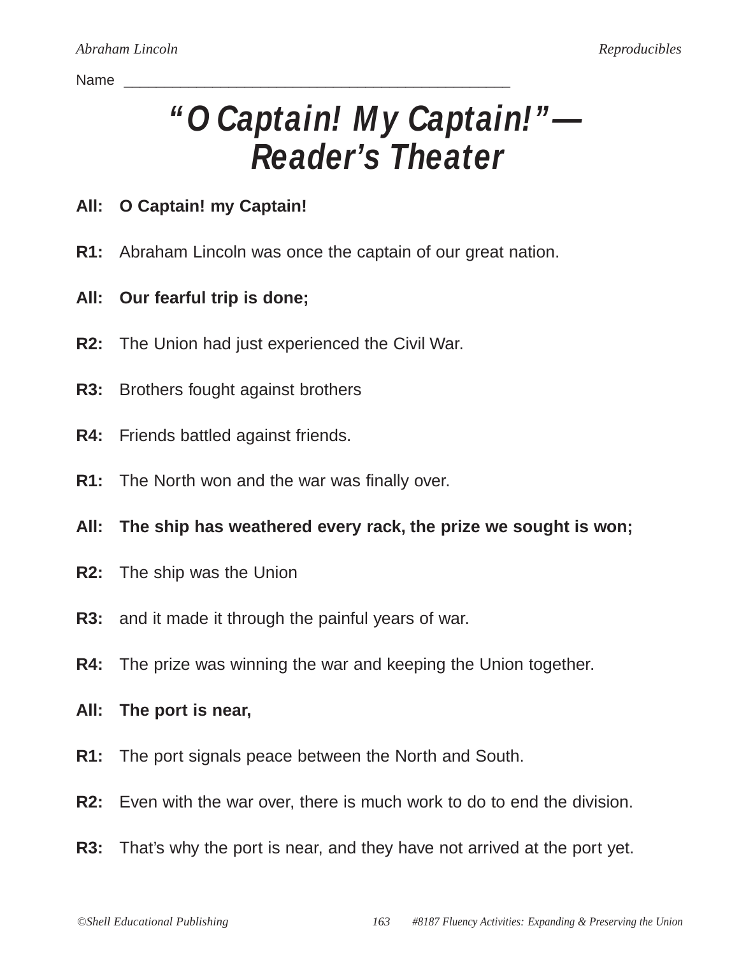#### Name \_\_\_\_\_\_\_\_\_\_\_\_\_\_\_\_\_\_\_\_\_\_\_\_\_\_\_\_\_\_\_\_\_\_\_\_\_\_\_\_\_\_\_\_\_\_\_\_

# *"O Captain! My Captain!"— Reader's Theater*

### **All: O Captain! my Captain!**

- **R1:** Abraham Lincoln was once the captain of our great nation.
- **All: Our fearful trip is done;**
- **R2:** The Union had just experienced the Civil War.
- **R3:** Brothers fought against brothers
- **R4:** Friends battled against friends.
- **R1:** The North won and the war was finally over.
- **All: The ship has weathered every rack, the prize we sought is won;**
- **R2:** The ship was the Union
- **R3:** and it made it through the painful years of war.
- **R4:** The prize was winning the war and keeping the Union together.
- **All: The port is near,**
- **R1:** The port signals peace between the North and South.
- **R2:** Even with the war over, there is much work to do to end the division.
- **R3:** That's why the port is near, and they have not arrived at the port yet.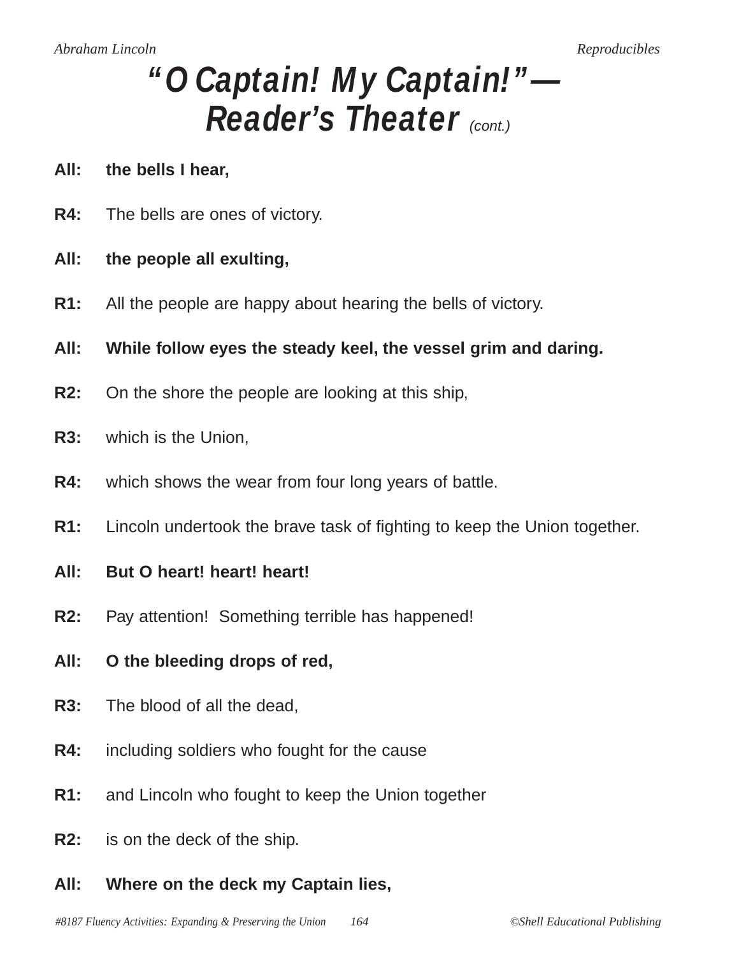- **All: the bells I hear,**
- **R4:** The bells are ones of victory.
- **All: the people all exulting,**
- **R1:** All the people are happy about hearing the bells of victory.
- **All: While follow eyes the steady keel, the vessel grim and daring.**
- **R2:** On the shore the people are looking at this ship,
- **R3:** which is the Union,
- **R4:** which shows the wear from four long years of battle.
- **R1:** Lincoln undertook the brave task of fighting to keep the Union together.
- **All: But O heart! heart! heart!**
- **R2:** Pay attention! Something terrible has happened!
- **All: O the bleeding drops of red,**
- **R3:** The blood of all the dead,
- **R4:** including soldiers who fought for the cause
- **R1:** and Lincoln who fought to keep the Union together
- **R2:** is on the deck of the ship.
- **All: Where on the deck my Captain lies,**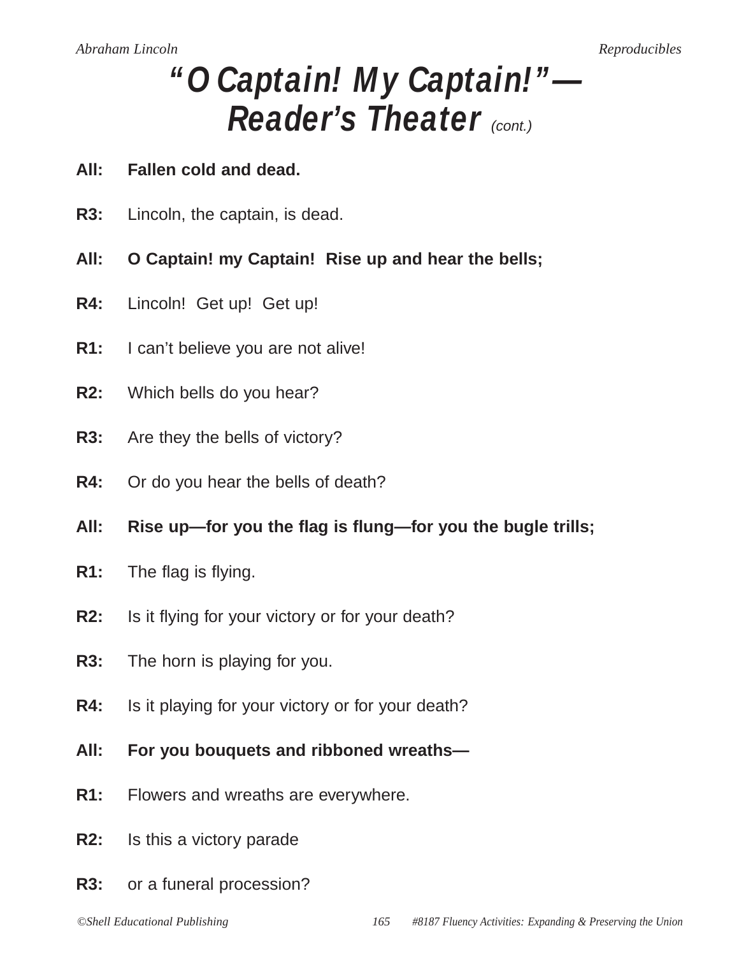### **All: Fallen cold and dead.**

- **R3:** Lincoln, the captain, is dead.
- **All: O Captain! my Captain! Rise up and hear the bells;**
- **R4:** Lincoln! Get up! Get up!
- **R1:** I can't believe you are not alive!
- **R2:** Which bells do you hear?
- **R3:** Are they the bells of victory?
- **R4:** Or do you hear the bells of death?
- **All: Rise up—for you the flag is flung—for you the bugle trills;**
- **R1:** The flag is flying.
- **R2:** Is it flying for your victory or for your death?
- **R3:** The horn is playing for you.
- **R4:** Is it playing for your victory or for your death?
- **All: For you bouquets and ribboned wreaths—**
- **R1:** Flowers and wreaths are everywhere.
- **R2:** Is this a victory parade
- **R3:** or a funeral procession?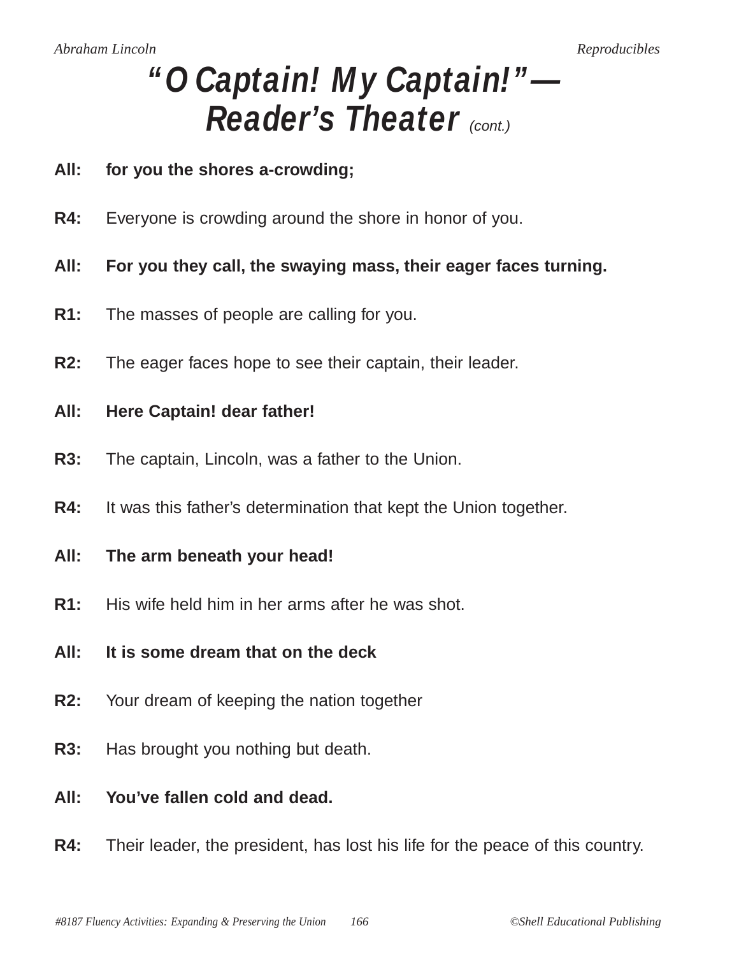### **All: for you the shores a-crowding;**

- **R4:** Everyone is crowding around the shore in honor of you.
- **All: For you they call, the swaying mass, their eager faces turning.**
- **R1:** The masses of people are calling for you.
- **R2:** The eager faces hope to see their captain, their leader.
- **All: Here Captain! dear father!**
- **R3:** The captain, Lincoln, was a father to the Union.
- **R4:** It was this father's determination that kept the Union together.
- **All: The arm beneath your head!**
- **R1:** His wife held him in her arms after he was shot.
- **All: It is some dream that on the deck**
- **R2:** Your dream of keeping the nation together
- **R3:** Has brought you nothing but death.
- **All: You've fallen cold and dead.**
- **R4:** Their leader, the president, has lost his life for the peace of this country.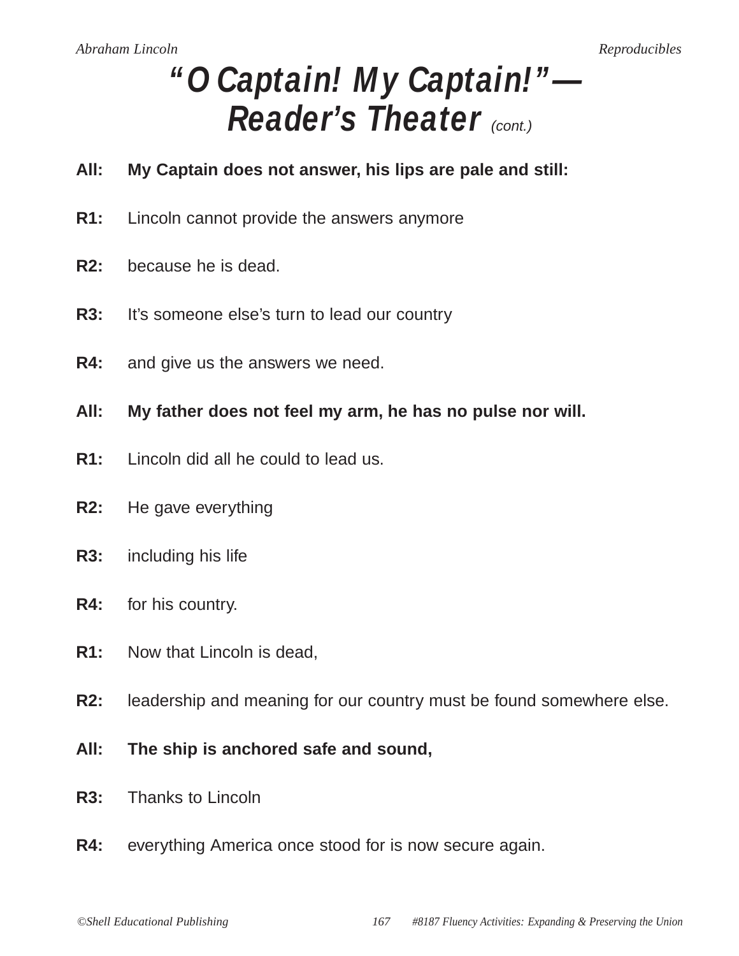- **All: My Captain does not answer, his lips are pale and still:**
- **R1:** Lincoln cannot provide the answers anymore
- **R2:** because he is dead.
- **R3:** It's someone else's turn to lead our country
- **R4:** and give us the answers we need.
- **All: My father does not feel my arm, he has no pulse nor will.**
- **R1:** Lincoln did all he could to lead us.
- **R2:** He gave everything
- **R3:** including his life
- **R4:** for his country.
- **R1:** Now that Lincoln is dead,
- **R2:** leadership and meaning for our country must be found somewhere else.
- **All: The ship is anchored safe and sound,**
- **R3:** Thanks to Lincoln
- **R4:** everything America once stood for is now secure again.